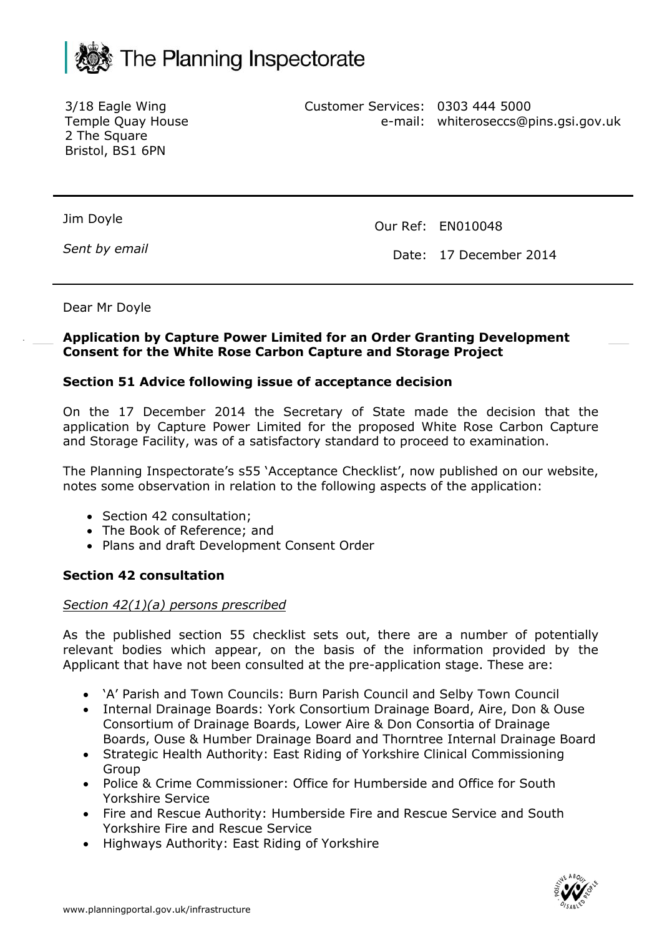

3/18 Eagle Wing Temple Quay House 2 The Square Bristol, BS1 6PN

Customer Services: 0303 444 5000 e-mail: whiteroseccs@pins.gsi.gov.uk

Jim Doyle

*Sent by email*

Our Ref: EN010048

Date: 17 December 2014

Dear Mr Doyle

### **Application by Capture Power Limited for an Order Granting Development Consent for the White Rose Carbon Capture and Storage Project**

## **Section 51 Advice following issue of acceptance decision**

On the 17 December 2014 the Secretary of State made the decision that the application by Capture Power Limited for the proposed White Rose Carbon Capture and Storage Facility, was of a satisfactory standard to proceed to examination.

The Planning Inspectorate's s55 'Acceptance Checklist', now published on our website, notes some observation in relation to the following aspects of the application:

- Section 42 consultation;
- The Book of Reference: and
- Plans and draft Development Consent Order

### **Section 42 consultation**

### *Section 42(1)(a) persons prescribed*

As the published section 55 checklist sets out, there are a number of potentially relevant bodies which appear, on the basis of the information provided by the Applicant that have not been consulted at the pre-application stage. These are:

- 'A' Parish and Town Councils: Burn Parish Council and Selby Town Council
- Internal Drainage Boards: York Consortium Drainage Board, Aire, Don & Ouse Consortium of Drainage Boards, Lower Aire & Don Consortia of Drainage Boards, Ouse & Humber Drainage Board and Thorntree Internal Drainage Board
- Strategic Health Authority: East Riding of Yorkshire Clinical Commissioning Group
- Police & Crime Commissioner: Office for Humberside and Office for South Yorkshire Service
- Fire and Rescue Authority: Humberside Fire and Rescue Service and South Yorkshire Fire and Rescue Service
- Highways Authority: East Riding of Yorkshire

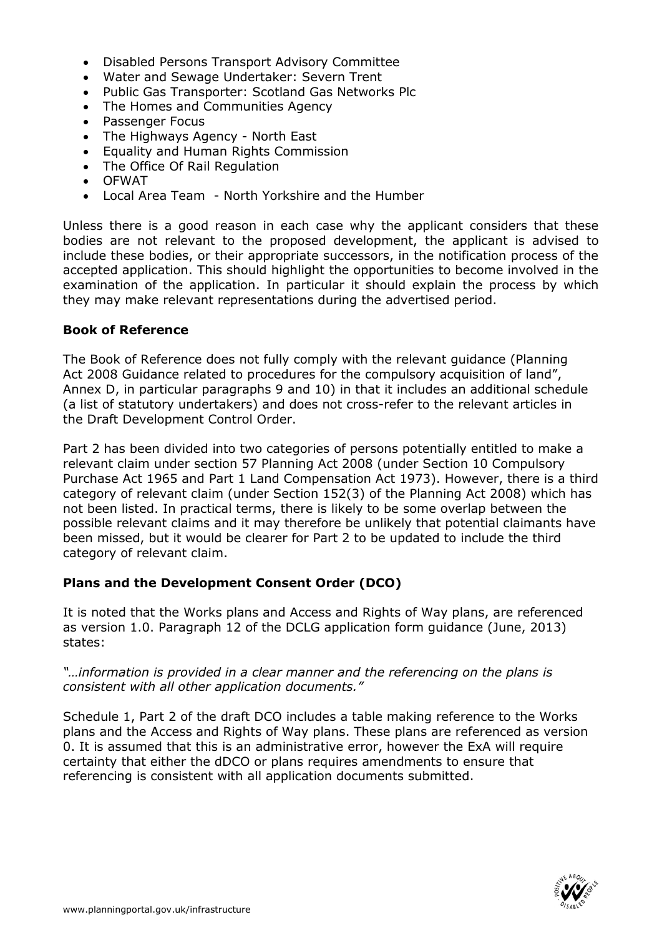- Disabled Persons Transport Advisory Committee
- Water and Sewage Undertaker: Severn Trent
- Public Gas Transporter: Scotland Gas Networks Plc
- The Homes and Communities Agency
- Passenger Focus
- The Highways Agency North East
- Equality and Human Rights Commission
- The Office Of Rail Regulation
- OFWAT
- Local Area Team North Yorkshire and the Humber

Unless there is a good reason in each case why the applicant considers that these bodies are not relevant to the proposed development, the applicant is advised to include these bodies, or their appropriate successors, in the notification process of the accepted application. This should highlight the opportunities to become involved in the examination of the application. In particular it should explain the process by which they may make relevant representations during the advertised period.

## **Book of Reference**

The Book of Reference does not fully comply with the relevant guidance (Planning Act 2008 Guidance related to procedures for the compulsory acquisition of land", Annex D, in particular paragraphs 9 and 10) in that it includes an additional schedule (a list of statutory undertakers) and does not cross-refer to the relevant articles in the Draft Development Control Order.

Part 2 has been divided into two categories of persons potentially entitled to make a relevant claim under section 57 Planning Act 2008 (under Section 10 Compulsory Purchase Act 1965 and Part 1 Land Compensation Act 1973). However, there is a third category of relevant claim (under Section 152(3) of the Planning Act 2008) which has not been listed. In practical terms, there is likely to be some overlap between the possible relevant claims and it may therefore be unlikely that potential claimants have been missed, but it would be clearer for Part 2 to be updated to include the third category of relevant claim.

# **Plans and the Development Consent Order (DCO)**

It is noted that the Works plans and Access and Rights of Way plans, are referenced as version 1.0. Paragraph 12 of the DCLG application form guidance (June, 2013) states:

## *"…information is provided in a clear manner and the referencing on the plans is consistent with all other application documents."*

Schedule 1, Part 2 of the draft DCO includes a table making reference to the Works plans and the Access and Rights of Way plans. These plans are referenced as version 0. It is assumed that this is an administrative error, however the ExA will require certainty that either the dDCO or plans requires amendments to ensure that referencing is consistent with all application documents submitted.